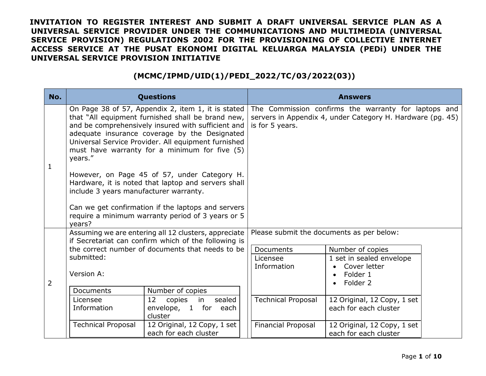| No.            |                                                                                                                                                                                                                                                                                                                                   | <b>Questions</b>                                                                                        |                           | <b>Answers</b>                                                                                                     |
|----------------|-----------------------------------------------------------------------------------------------------------------------------------------------------------------------------------------------------------------------------------------------------------------------------------------------------------------------------------|---------------------------------------------------------------------------------------------------------|---------------------------|--------------------------------------------------------------------------------------------------------------------|
| 1              | On Page 38 of 57, Appendix 2, item 1, it is stated<br>that "All equipment furnished shall be brand new,<br>and be comprehensively insured with sufficient and<br>adequate insurance coverage by the Designated<br>Universal Service Provider. All equipment furnished<br>must have warranty for a minimum for five (5)<br>years." |                                                                                                         | is for 5 years.           | The Commission confirms the warranty for laptops and<br>servers in Appendix 4, under Category H. Hardware (pg. 45) |
|                | However, on Page 45 of 57, under Category H.<br>Hardware, it is noted that laptop and servers shall<br>include 3 years manufacturer warranty.                                                                                                                                                                                     |                                                                                                         |                           |                                                                                                                    |
|                | years?                                                                                                                                                                                                                                                                                                                            | Can we get confirmation if the laptops and servers<br>require a minimum warranty period of 3 years or 5 |                           |                                                                                                                    |
|                | Assuming we are entering all 12 clusters, appreciate<br>if Secretariat can confirm which of the following is                                                                                                                                                                                                                      |                                                                                                         |                           | Please submit the documents as per below:                                                                          |
|                | the correct number of documents that needs to be<br>submitted:                                                                                                                                                                                                                                                                    |                                                                                                         | <b>Documents</b>          | Number of copies                                                                                                   |
|                |                                                                                                                                                                                                                                                                                                                                   |                                                                                                         | Licensee                  | 1 set in sealed envelope                                                                                           |
| $\overline{2}$ | Version A:                                                                                                                                                                                                                                                                                                                        |                                                                                                         | Information               | Cover letter                                                                                                       |
|                |                                                                                                                                                                                                                                                                                                                                   |                                                                                                         |                           | Folder 1                                                                                                           |
|                |                                                                                                                                                                                                                                                                                                                                   |                                                                                                         |                           | Folder 2                                                                                                           |
|                | Documents                                                                                                                                                                                                                                                                                                                         | Number of copies                                                                                        |                           |                                                                                                                    |
|                | Licensee                                                                                                                                                                                                                                                                                                                          | sealed<br>12<br>copies<br>in                                                                            | <b>Technical Proposal</b> | 12 Original, 12 Copy, 1 set                                                                                        |
|                | Information                                                                                                                                                                                                                                                                                                                       | envelope, 1 for each<br>cluster                                                                         |                           | each for each cluster                                                                                              |
|                | <b>Technical Proposal</b>                                                                                                                                                                                                                                                                                                         | 12 Original, 12 Copy, 1 set<br>each for each cluster                                                    | Financial Proposal        | 12 Original, 12 Copy, 1 set<br>each for each cluster                                                               |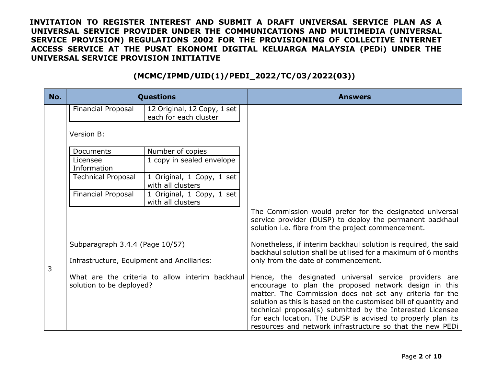| No. | <b>Questions</b>                                                            |                                                      | <b>Answers</b>                                                                                                                                                                                                                                                                                                                                                                                                                           |
|-----|-----------------------------------------------------------------------------|------------------------------------------------------|------------------------------------------------------------------------------------------------------------------------------------------------------------------------------------------------------------------------------------------------------------------------------------------------------------------------------------------------------------------------------------------------------------------------------------------|
|     | <b>Financial Proposal</b>                                                   | 12 Original, 12 Copy, 1 set<br>each for each cluster |                                                                                                                                                                                                                                                                                                                                                                                                                                          |
|     | Version B:                                                                  |                                                      |                                                                                                                                                                                                                                                                                                                                                                                                                                          |
|     | Documents                                                                   | Number of copies                                     |                                                                                                                                                                                                                                                                                                                                                                                                                                          |
|     | Licensee<br>Information                                                     | 1 copy in sealed envelope                            |                                                                                                                                                                                                                                                                                                                                                                                                                                          |
|     | <b>Technical Proposal</b>                                                   | 1 Original, 1 Copy, 1 set<br>with all clusters       |                                                                                                                                                                                                                                                                                                                                                                                                                                          |
|     | <b>Financial Proposal</b>                                                   | 1 Original, 1 Copy, 1 set<br>with all clusters       |                                                                                                                                                                                                                                                                                                                                                                                                                                          |
|     |                                                                             |                                                      | The Commission would prefer for the designated universal<br>service provider (DUSP) to deploy the permanent backhaul<br>solution i.e. fibre from the project commencement.                                                                                                                                                                                                                                                               |
| 3   | Subparagraph 3.4.4 (Page 10/57)                                             |                                                      | Nonetheless, if interim backhaul solution is required, the said<br>backhaul solution shall be utilised for a maximum of 6 months                                                                                                                                                                                                                                                                                                         |
|     | Infrastructure, Equipment and Ancillaries:                                  |                                                      | only from the date of commencement.                                                                                                                                                                                                                                                                                                                                                                                                      |
|     | What are the criteria to allow interim backhaul<br>solution to be deployed? |                                                      | Hence, the designated universal service providers are<br>encourage to plan the proposed network design in this<br>matter. The Commission does not set any criteria for the<br>solution as this is based on the customised bill of quantity and<br>technical proposal(s) submitted by the Interested Licensee<br>for each location. The DUSP is advised to properly plan its<br>resources and network infrastructure so that the new PEDi |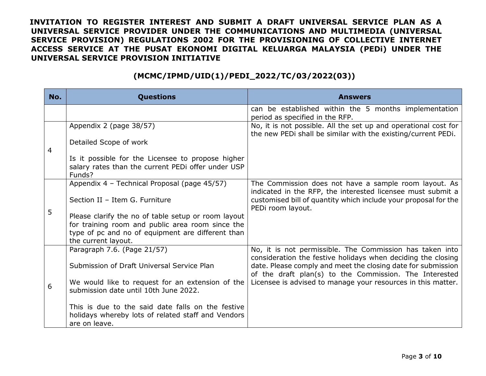| No. | <b>Questions</b>                                                                                                  | <b>Answers</b>                                                                                                                                                                         |
|-----|-------------------------------------------------------------------------------------------------------------------|----------------------------------------------------------------------------------------------------------------------------------------------------------------------------------------|
|     |                                                                                                                   | can be established within the 5 months implementation<br>period as specified in the RFP.                                                                                               |
| 4   | Appendix 2 (page 38/57)                                                                                           | No, it is not possible. All the set up and operational cost for<br>the new PEDi shall be similar with the existing/current PEDi.                                                       |
|     | Detailed Scope of work                                                                                            |                                                                                                                                                                                        |
|     | Is it possible for the Licensee to propose higher<br>salary rates than the current PEDi offer under USP<br>Funds? |                                                                                                                                                                                        |
|     | Appendix 4 - Technical Proposal (page 45/57)                                                                      | The Commission does not have a sample room layout. As<br>indicated in the RFP, the interested licensee must submit a                                                                   |
|     | Section II - Item G. Furniture                                                                                    | customised bill of quantity which include your proposal for the<br>PEDi room layout.                                                                                                   |
| 5   | Please clarify the no of table setup or room layout                                                               |                                                                                                                                                                                        |
|     | for training room and public area room since the                                                                  |                                                                                                                                                                                        |
|     | type of pc and no of equipment are different than<br>the current layout.                                          |                                                                                                                                                                                        |
|     | Paragraph 7.6. (Page 21/57)                                                                                       | No, it is not permissible. The Commission has taken into                                                                                                                               |
| 6   | Submission of Draft Universal Service Plan                                                                        | consideration the festive holidays when deciding the closing<br>date. Please comply and meet the closing date for submission<br>of the draft plan(s) to the Commission. The Interested |
|     | We would like to request for an extension of the                                                                  | Licensee is advised to manage your resources in this matter.                                                                                                                           |
|     | submission date until 10th June 2022.                                                                             |                                                                                                                                                                                        |
|     | This is due to the said date falls on the festive                                                                 |                                                                                                                                                                                        |
|     | holidays whereby lots of related staff and Vendors<br>are on leave.                                               |                                                                                                                                                                                        |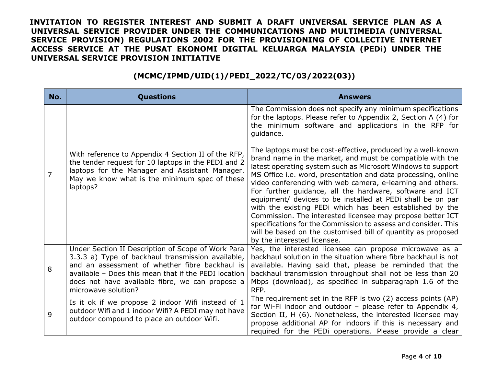| No. | <b>Questions</b>                                                                                                                                                                                                                                                                            | <b>Answers</b>                                                                                                                                                                                                                                                                                                                                                                                                                                                                                                                                                                                                                                                                                                                                                                                                                                                                                                      |
|-----|---------------------------------------------------------------------------------------------------------------------------------------------------------------------------------------------------------------------------------------------------------------------------------------------|---------------------------------------------------------------------------------------------------------------------------------------------------------------------------------------------------------------------------------------------------------------------------------------------------------------------------------------------------------------------------------------------------------------------------------------------------------------------------------------------------------------------------------------------------------------------------------------------------------------------------------------------------------------------------------------------------------------------------------------------------------------------------------------------------------------------------------------------------------------------------------------------------------------------|
| 7   | With reference to Appendix 4 Section II of the RFP,<br>the tender request for 10 laptops in the PEDI and 2<br>laptops for the Manager and Assistant Manager.<br>May we know what is the minimum spec of these<br>laptops?                                                                   | The Commission does not specify any minimum specifications<br>for the laptops. Please refer to Appendix 2, Section A (4) for<br>the minimum software and applications in the RFP for<br>guidance.<br>The laptops must be cost-effective, produced by a well-known<br>brand name in the market, and must be compatible with the<br>latest operating system such as Microsoft Windows to support<br>MS Office i.e. word, presentation and data processing, online<br>video conferencing with web camera, e-learning and others.<br>For further guidance, all the hardware, software and ICT<br>equipment/ devices to be installed at PEDi shall be on par<br>with the existing PEDi which has been established by the<br>Commission. The interested licensee may propose better ICT<br>specifications for the Commission to assess and consider. This<br>will be based on the customised bill of quantity as proposed |
| 8   | Under Section II Description of Scope of Work Para<br>3.3.3 a) Type of backhaul transmission available,<br>and an assessment of whether fibre backhaul is<br>available - Does this mean that if the PEDI location<br>does not have available fibre, we can propose a<br>microwave solution? | by the interested licensee.<br>Yes, the interested licensee can propose microwave as a<br>backhaul solution in the situation where fibre backhaul is not<br>available. Having said that, please be reminded that the<br>backhaul transmission throughput shall not be less than 20<br>Mbps (download), as specified in subparagraph 1.6 of the<br>RFP.                                                                                                                                                                                                                                                                                                                                                                                                                                                                                                                                                              |
| 9   | Is it ok if we propose 2 indoor Wifi instead of 1<br>outdoor Wifi and 1 indoor Wifi? A PEDI may not have<br>outdoor compound to place an outdoor Wifi.                                                                                                                                      | The requirement set in the RFP is two (2) access points (AP)<br>for Wi-Fi indoor and outdoor - please refer to Appendix 4,<br>Section II, H (6). Nonetheless, the interested licensee may<br>propose additional AP for indoors if this is necessary and<br>required for the PEDi operations. Please provide a clear                                                                                                                                                                                                                                                                                                                                                                                                                                                                                                                                                                                                 |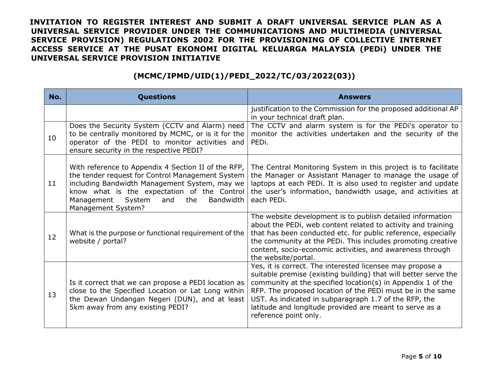| No. | <b>Questions</b>                                                                                                                                                                                                                                                                        | <b>Answers</b>                                                                                                                                                                                                                                                                                                                                                                                         |
|-----|-----------------------------------------------------------------------------------------------------------------------------------------------------------------------------------------------------------------------------------------------------------------------------------------|--------------------------------------------------------------------------------------------------------------------------------------------------------------------------------------------------------------------------------------------------------------------------------------------------------------------------------------------------------------------------------------------------------|
|     |                                                                                                                                                                                                                                                                                         | justification to the Commission for the proposed additional AP<br>in your technical draft plan.                                                                                                                                                                                                                                                                                                        |
| 10  | Does the Security System (CCTV and Alarm) need<br>to be centrally monitored by MCMC, or is it for the<br>operator of the PEDI to monitor activities and<br>ensure security in the respective PEDI?                                                                                      | The CCTV and alarm system is for the PEDI's operator to<br>monitor the activities undertaken and the security of the<br>PEDi.                                                                                                                                                                                                                                                                          |
| 11  | With reference to Appendix 4 Section II of the RFP,<br>the tender request for Control Management System<br>including Bandwidth Management System, may we<br>know what is the expectation of the Control<br>Management<br>System<br>the<br>and<br><b>Bandwidth</b><br>Management System? | The Central Monitoring System in this project is to facilitate<br>the Manager or Assistant Manager to manage the usage of<br>laptops at each PEDi. It is also used to register and update<br>the user's information, bandwidth usage, and activities at<br>each PEDi.                                                                                                                                  |
| 12  | What is the purpose or functional requirement of the<br>website / portal?                                                                                                                                                                                                               | The website development is to publish detailed information<br>about the PEDi, web content related to activity and training<br>that has been conducted etc. for public reference, especially<br>the community at the PEDi. This includes promoting creative<br>content, socio-economic activities, and awareness through<br>the website/portal.                                                         |
| 13  | Is it correct that we can propose a PEDI location as<br>close to the Specified Location or Lat Long within<br>the Dewan Undangan Negeri (DUN), and at least<br>5km away from any existing PEDI?                                                                                         | Yes, it is correct. The interested licensee may propose a<br>suitable premise (existing building) that will better serve the<br>community at the specified location(s) in Appendix 1 of the<br>RFP. The proposed location of the PEDi must be in the same<br>UST. As indicated in subparagraph 1.7 of the RFP, the<br>latitude and longitude provided are meant to serve as a<br>reference point only. |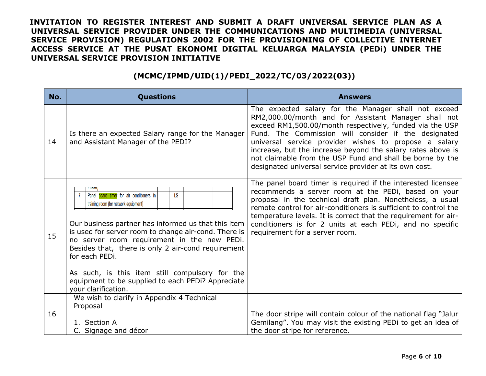| No. | <b>Questions</b>                                                                                                                                                                                                                                                                                                                                                                                                                                                              | <b>Answers</b>                                                                                                                                                                                                                                                                                                                                                                                                                                                                  |
|-----|-------------------------------------------------------------------------------------------------------------------------------------------------------------------------------------------------------------------------------------------------------------------------------------------------------------------------------------------------------------------------------------------------------------------------------------------------------------------------------|---------------------------------------------------------------------------------------------------------------------------------------------------------------------------------------------------------------------------------------------------------------------------------------------------------------------------------------------------------------------------------------------------------------------------------------------------------------------------------|
| 14  | Is there an expected Salary range for the Manager<br>and Assistant Manager of the PEDI?                                                                                                                                                                                                                                                                                                                                                                                       | The expected salary for the Manager shall not exceed<br>RM2,000.00/month and for Assistant Manager shall not<br>exceed RM1,500.00/month respectively, funded via the USP<br>Fund. The Commission will consider if the designated<br>universal service provider wishes to propose a salary<br>increase, but the increase beyond the salary rates above is<br>not claimable from the USP Fund and shall be borne by the<br>designated universal service provider at its own cost. |
| 15  | <b>Fildse</b><br>Panel board timer for air conditioners in<br>LS<br>training room (for network equipment)<br>Our business partner has informed us that this item<br>is used for server room to change air-cond. There is<br>no server room requirement in the new PEDi.<br>Besides that, there is only 2 air-cond requirement<br>for each PEDi.<br>As such, is this item still compulsory for the<br>equipment to be supplied to each PEDI? Appreciate<br>your clarification. | The panel board timer is required if the interested licensee<br>recommends a server room at the PEDi, based on your<br>proposal in the technical draft plan. Nonetheless, a usual<br>remote control for air-conditioners is sufficient to control the<br>temperature levels. It is correct that the requirement for air-<br>conditioners is for 2 units at each PEDi, and no specific<br>requirement for a server room.                                                         |
| 16  | We wish to clarify in Appendix 4 Technical<br>Proposal<br>1. Section A                                                                                                                                                                                                                                                                                                                                                                                                        | The door stripe will contain colour of the national flag "Jalur<br>Gemilang". You may visit the existing PEDi to get an idea of                                                                                                                                                                                                                                                                                                                                                 |
|     | C. Signage and décor                                                                                                                                                                                                                                                                                                                                                                                                                                                          | the door stripe for reference.                                                                                                                                                                                                                                                                                                                                                                                                                                                  |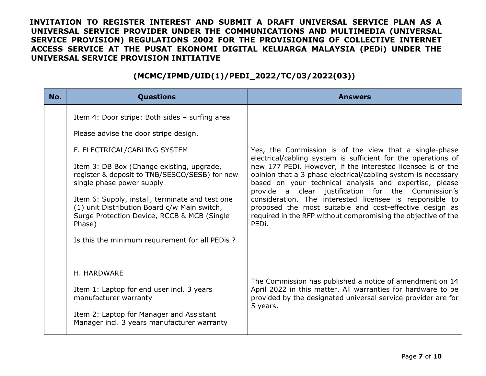| No. | <b>Questions</b>                                                                                                                                                                                                                                                                                                                                                                                                                                                  | <b>Answers</b>                                                                                                                                                                                                                                                                                                                                                                                                                                                                                                                                                           |
|-----|-------------------------------------------------------------------------------------------------------------------------------------------------------------------------------------------------------------------------------------------------------------------------------------------------------------------------------------------------------------------------------------------------------------------------------------------------------------------|--------------------------------------------------------------------------------------------------------------------------------------------------------------------------------------------------------------------------------------------------------------------------------------------------------------------------------------------------------------------------------------------------------------------------------------------------------------------------------------------------------------------------------------------------------------------------|
|     | Item 4: Door stripe: Both sides - surfing area<br>Please advise the door stripe design.<br>F. ELECTRICAL/CABLING SYSTEM<br>Item 3: DB Box (Change existing, upgrade,<br>register & deposit to TNB/SESCO/SESB) for new<br>single phase power supply<br>Item 6: Supply, install, terminate and test one<br>(1) unit Distribution Board c/w Main switch,<br>Surge Protection Device, RCCB & MCB (Single<br>Phase)<br>Is this the minimum requirement for all PEDis ? | Yes, the Commission is of the view that a single-phase<br>electrical/cabling system is sufficient for the operations of<br>new 177 PEDi. However, if the interested licensee is of the<br>opinion that a 3 phase electrical/cabling system is necessary<br>based on your technical analysis and expertise, please<br>provide a clear justification for the Commission's<br>consideration. The interested licensee is responsible to<br>proposed the most suitable and cost-effective design as<br>required in the RFP without compromising the objective of the<br>PEDi. |
|     | H. HARDWARE<br>Item 1: Laptop for end user incl. 3 years<br>manufacturer warranty<br>Item 2: Laptop for Manager and Assistant<br>Manager incl. 3 years manufacturer warranty                                                                                                                                                                                                                                                                                      | The Commission has published a notice of amendment on 14<br>April 2022 in this matter. All warranties for hardware to be<br>provided by the designated universal service provider are for<br>5 years.                                                                                                                                                                                                                                                                                                                                                                    |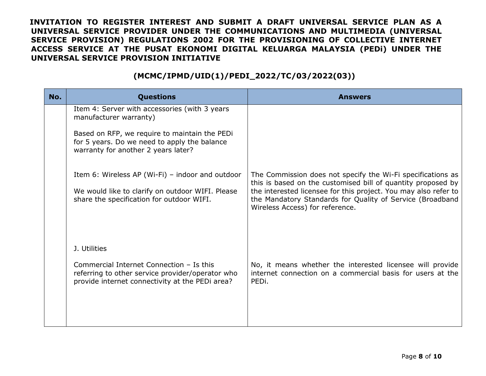| No. | <b>Questions</b>                                                                                                                                  | <b>Answers</b>                                                                                                                                                                                                                                                                                 |
|-----|---------------------------------------------------------------------------------------------------------------------------------------------------|------------------------------------------------------------------------------------------------------------------------------------------------------------------------------------------------------------------------------------------------------------------------------------------------|
|     | Item 4: Server with accessories (with 3 years<br>manufacturer warranty)                                                                           |                                                                                                                                                                                                                                                                                                |
|     | Based on RFP, we require to maintain the PEDi<br>for 5 years. Do we need to apply the balance<br>warranty for another 2 years later?              |                                                                                                                                                                                                                                                                                                |
|     | Item 6: Wireless AP (Wi-Fi) – indoor and outdoor<br>We would like to clarify on outdoor WIFI. Please<br>share the specification for outdoor WIFI. | The Commission does not specify the Wi-Fi specifications as<br>this is based on the customised bill of quantity proposed by<br>the interested licensee for this project. You may also refer to<br>the Mandatory Standards for Quality of Service (Broadband<br>Wireless Access) for reference. |
|     | J. Utilities                                                                                                                                      |                                                                                                                                                                                                                                                                                                |
|     | Commercial Internet Connection - Is this<br>referring to other service provider/operator who<br>provide internet connectivity at the PEDi area?   | No, it means whether the interested licensee will provide<br>internet connection on a commercial basis for users at the<br>PEDi.                                                                                                                                                               |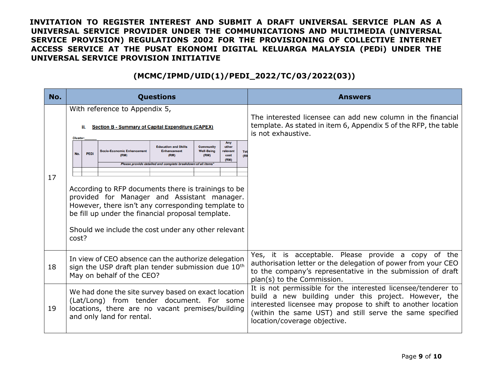| No. | <b>Questions</b>                                                                                                                                                                                                                                                                                                                                                                                                                                                                                                                                                                                                                                                                                          | <b>Answers</b>                                                                                                                                                                                                                                                                     |
|-----|-----------------------------------------------------------------------------------------------------------------------------------------------------------------------------------------------------------------------------------------------------------------------------------------------------------------------------------------------------------------------------------------------------------------------------------------------------------------------------------------------------------------------------------------------------------------------------------------------------------------------------------------------------------------------------------------------------------|------------------------------------------------------------------------------------------------------------------------------------------------------------------------------------------------------------------------------------------------------------------------------------|
| 17  | With reference to Appendix 5,<br><b>Section B - Summary of Capital Expenditure (CAPEX)</b><br><b>Cluster:</b><br>Any<br><b>Education and Skills</b><br>other<br><b>Community</b><br><b>Socio-Economic Enhancement</b><br><b>Enhancement</b><br><b>Well-Being</b><br>relevant<br>Tot<br>No.<br><b>PEDI</b><br>(RM)<br>(RM)<br>(RM)<br>cost<br>(RI<br>(RM)<br>Please provide detailed and complete breakdown of all items'<br>According to RFP documents there is trainings to be<br>provided for Manager and Assistant manager.<br>However, there isn't any corresponding template to<br>be fill up under the financial proposal template.<br>Should we include the cost under any other relevant<br>cost? | The interested licensee can add new column in the financial<br>template. As stated in item 6, Appendix 5 of the RFP, the table<br>is not exhaustive.                                                                                                                               |
| 18  | In view of CEO absence can the authorize delegation<br>sign the USP draft plan tender submission due 10 <sup>th</sup><br>May on behalf of the CEO?                                                                                                                                                                                                                                                                                                                                                                                                                                                                                                                                                        | Yes, it is acceptable. Please provide a copy of the<br>authorisation letter or the delegation of power from your CEO<br>to the company's representative in the submission of draft<br>plan(s) to the Commission.                                                                   |
| 19  | We had done the site survey based on exact location<br>(Lat/Long) from tender document. For some<br>locations, there are no vacant premises/building<br>and only land for rental.                                                                                                                                                                                                                                                                                                                                                                                                                                                                                                                         | It is not permissible for the interested licensee/tenderer to<br>build a new building under this project. However, the<br>interested licensee may propose to shift to another location<br>(within the same UST) and still serve the same specified<br>location/coverage objective. |